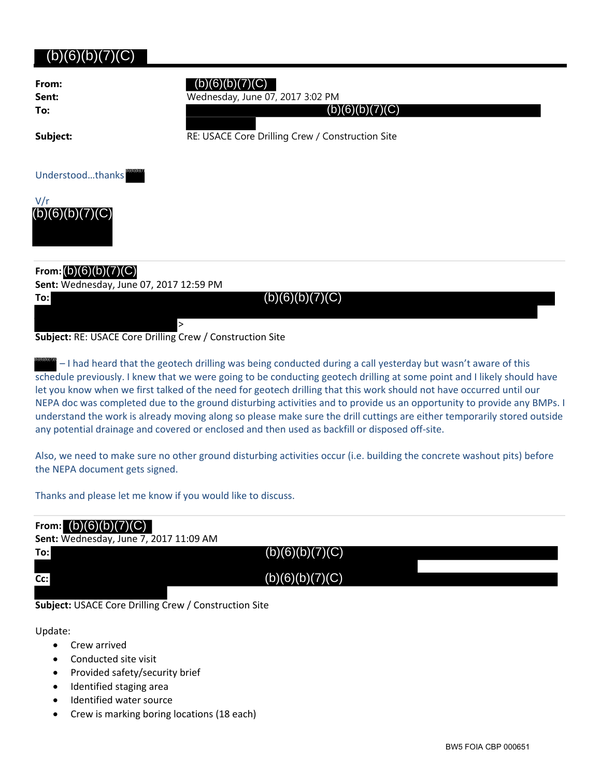## $(b)(6)(b)(7)(C)$

**From: To:**

## (b)(6)(b)(7)(C)

**Sent:** Wednesday, June 07, 2017 3:02 PM

 $(b)(6)(b)(7)(C)$ 

**Subject:** RE: USACE Core Drilling Crew / Construction Site

**To:**

Understood...thanks **BIGIOLO** 



## **From:** (b)(6)(b)(7)(C)

**Sent:** Wednesday, June 07, 2017 12:59 PM

 $(b)(6)(b)(7)(C)$ 

**Subject:** RE: USACE Core Drilling Crew / Construction Site

>

– I had heard that the geotech drilling was being conducted during a call yesterday but wasn't aware of this schedule previously. I knew that we were going to be conducting geotech drilling at some point and I likely should have let you know when we first talked of the need for geotech drilling that this work should not have occurred until our NEPA doc was completed due to the ground disturbing activities and to provide us an opportunity to provide any BMPs. I understand the work is already moving along so please make sure the drill cuttings are either temporarily stored outside any potential drainage and covered or enclosed and then used as backfill or disposed off‐site. (b)(6)(b)(7)(C)

Also, we need to make sure no other ground disturbing activities occur (i.e. building the concrete washout pits) before the NEPA document gets signed.

Thanks and please let me know if you would like to discuss.

| From: $(b)(6)(b)(7)(C)$<br>Sent: Wednesday, June 7, 2017 11:09 AM |                 |  |
|-------------------------------------------------------------------|-----------------|--|
| To:                                                               | (b)(6)(b)(7)(C) |  |
| Cc:                                                               | (b)(6)(b)(7)(C) |  |
|                                                                   |                 |  |

**Subject:** USACE Core Drilling Crew / Construction Site

Update:

- Crew arrived
- Conducted site visit
- Provided safety/security brief
- Identified staging area
- Identified water source
- Crew is marking boring locations (18 each)